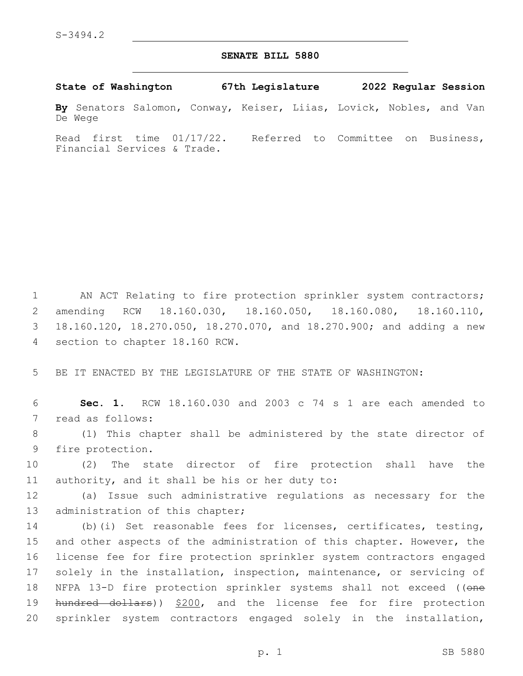## **SENATE BILL 5880**

**State of Washington 67th Legislature 2022 Regular Session**

**By** Senators Salomon, Conway, Keiser, Liias, Lovick, Nobles, and Van De Wege

Read first time 01/17/22. Referred to Committee on Business, Financial Services & Trade.

 AN ACT Relating to fire protection sprinkler system contractors; amending RCW 18.160.030, 18.160.050, 18.160.080, 18.160.110, 18.160.120, 18.270.050, 18.270.070, and 18.270.900; and adding a new 4 section to chapter 18.160 RCW.

5 BE IT ENACTED BY THE LEGISLATURE OF THE STATE OF WASHINGTON:

6 **Sec. 1.** RCW 18.160.030 and 2003 c 74 s 1 are each amended to 7 read as follows:

8 (1) This chapter shall be administered by the state director of 9 fire protection.

10 (2) The state director of fire protection shall have the 11 authority, and it shall be his or her duty to:

12 (a) Issue such administrative regulations as necessary for the 13 administration of this chapter;

 (b)(i) Set reasonable fees for licenses, certificates, testing, and other aspects of the administration of this chapter. However, the license fee for fire protection sprinkler system contractors engaged solely in the installation, inspection, maintenance, or servicing of 18 NFPA 13-D fire protection sprinkler systems shall not exceed ((one 19 hundred dollars)) \$200, and the license fee for fire protection sprinkler system contractors engaged solely in the installation,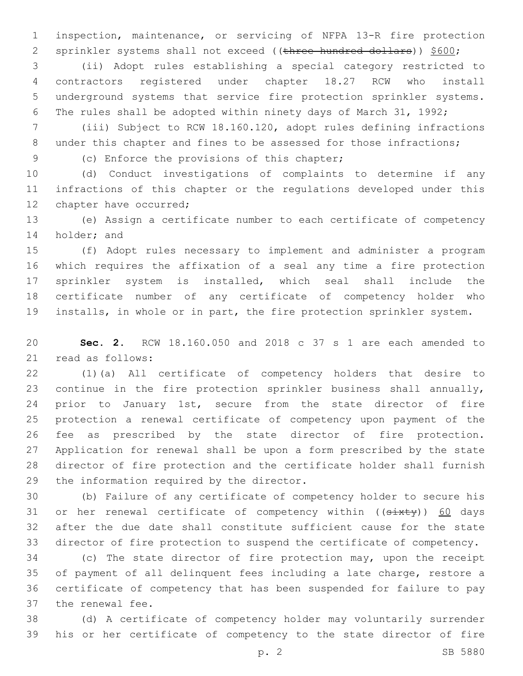inspection, maintenance, or servicing of NFPA 13-R fire protection 2 sprinkler systems shall not exceed ((three hundred dollars)) \$600;

 (ii) Adopt rules establishing a special category restricted to contractors registered under chapter 18.27 RCW who install underground systems that service fire protection sprinkler systems. The rules shall be adopted within ninety days of March 31, 1992;

 (iii) Subject to RCW 18.160.120, adopt rules defining infractions 8 under this chapter and fines to be assessed for those infractions;

9 (c) Enforce the provisions of this chapter;

 (d) Conduct investigations of complaints to determine if any infractions of this chapter or the regulations developed under this 12 chapter have occurred;

 (e) Assign a certificate number to each certificate of competency 14 holder; and

 (f) Adopt rules necessary to implement and administer a program which requires the affixation of a seal any time a fire protection sprinkler system is installed, which seal shall include the certificate number of any certificate of competency holder who installs, in whole or in part, the fire protection sprinkler system.

 **Sec. 2.** RCW 18.160.050 and 2018 c 37 s 1 are each amended to 21 read as follows:

 (1)(a) All certificate of competency holders that desire to continue in the fire protection sprinkler business shall annually, 24 prior to January 1st, secure from the state director of fire protection a renewal certificate of competency upon payment of the fee as prescribed by the state director of fire protection. Application for renewal shall be upon a form prescribed by the state director of fire protection and the certificate holder shall furnish 29 the information required by the director.

 (b) Failure of any certificate of competency holder to secure his 31 or her renewal certificate of competency within ((sixty)) 60 days after the due date shall constitute sufficient cause for the state director of fire protection to suspend the certificate of competency.

 (c) The state director of fire protection may, upon the receipt of payment of all delinquent fees including a late charge, restore a certificate of competency that has been suspended for failure to pay 37 the renewal fee.

 (d) A certificate of competency holder may voluntarily surrender his or her certificate of competency to the state director of fire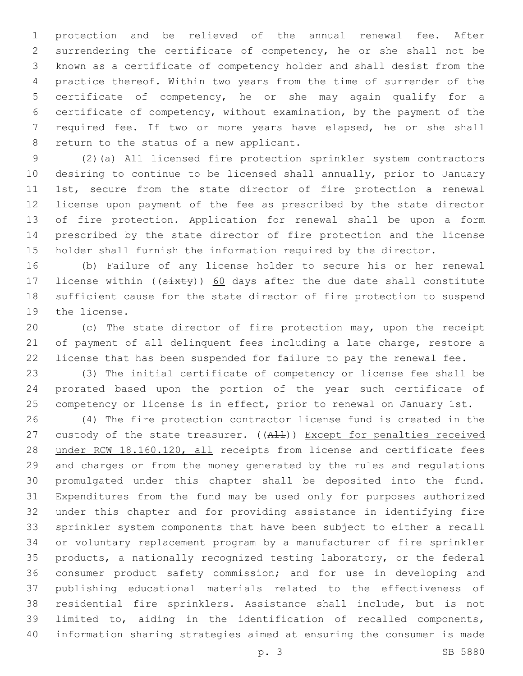protection and be relieved of the annual renewal fee. After surrendering the certificate of competency, he or she shall not be known as a certificate of competency holder and shall desist from the practice thereof. Within two years from the time of surrender of the certificate of competency, he or she may again qualify for a certificate of competency, without examination, by the payment of the required fee. If two or more years have elapsed, he or she shall 8 return to the status of a new applicant.

 (2)(a) All licensed fire protection sprinkler system contractors desiring to continue to be licensed shall annually, prior to January 1st, secure from the state director of fire protection a renewal license upon payment of the fee as prescribed by the state director of fire protection. Application for renewal shall be upon a form prescribed by the state director of fire protection and the license holder shall furnish the information required by the director.

 (b) Failure of any license holder to secure his or her renewal 17 license within ((sixty)) 60 days after the due date shall constitute sufficient cause for the state director of fire protection to suspend 19 the license.

 (c) The state director of fire protection may, upon the receipt of payment of all delinquent fees including a late charge, restore a license that has been suspended for failure to pay the renewal fee.

 (3) The initial certificate of competency or license fee shall be prorated based upon the portion of the year such certificate of competency or license is in effect, prior to renewal on January 1st.

 (4) The fire protection contractor license fund is created in the 27 custody of the state treasurer. ((All)) Except for penalties received 28 under RCW 18.160.120, all receipts from license and certificate fees and charges or from the money generated by the rules and regulations promulgated under this chapter shall be deposited into the fund. Expenditures from the fund may be used only for purposes authorized under this chapter and for providing assistance in identifying fire sprinkler system components that have been subject to either a recall or voluntary replacement program by a manufacturer of fire sprinkler products, a nationally recognized testing laboratory, or the federal consumer product safety commission; and for use in developing and publishing educational materials related to the effectiveness of residential fire sprinklers. Assistance shall include, but is not limited to, aiding in the identification of recalled components, information sharing strategies aimed at ensuring the consumer is made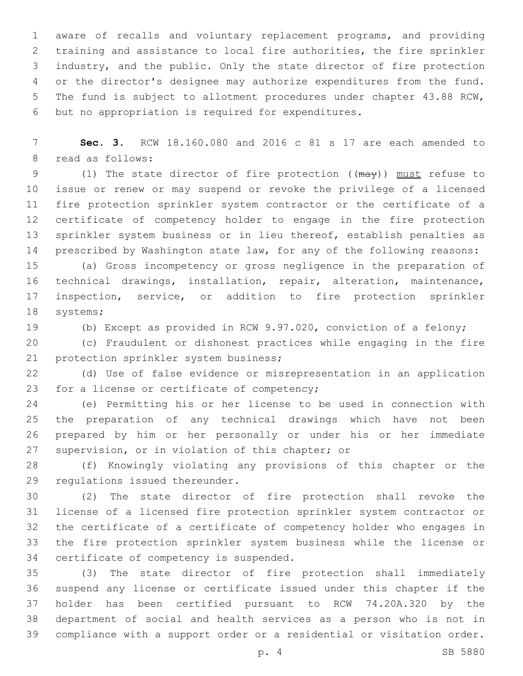aware of recalls and voluntary replacement programs, and providing training and assistance to local fire authorities, the fire sprinkler industry, and the public. Only the state director of fire protection or the director's designee may authorize expenditures from the fund. The fund is subject to allotment procedures under chapter 43.88 RCW, 6 but no appropriation is required for expenditures.

 **Sec. 3.** RCW 18.160.080 and 2016 c 81 s 17 are each amended to 8 read as follows:

9 (1) The state director of fire protection ((may)) must refuse to issue or renew or may suspend or revoke the privilege of a licensed fire protection sprinkler system contractor or the certificate of a certificate of competency holder to engage in the fire protection 13 sprinkler system business or in lieu thereof, establish penalties as prescribed by Washington state law, for any of the following reasons:

 (a) Gross incompetency or gross negligence in the preparation of technical drawings, installation, repair, alteration, maintenance, inspection, service, or addition to fire protection sprinkler 18 systems;

(b) Except as provided in RCW 9.97.020, conviction of a felony;

 (c) Fraudulent or dishonest practices while engaging in the fire 21 protection sprinkler system business;

 (d) Use of false evidence or misrepresentation in an application 23 for a license or certificate of competency;

 (e) Permitting his or her license to be used in connection with the preparation of any technical drawings which have not been prepared by him or her personally or under his or her immediate 27 supervision, or in violation of this chapter; or

 (f) Knowingly violating any provisions of this chapter or the 29 regulations issued thereunder.

 (2) The state director of fire protection shall revoke the license of a licensed fire protection sprinkler system contractor or the certificate of a certificate of competency holder who engages in the fire protection sprinkler system business while the license or 34 certificate of competency is suspended.

 (3) The state director of fire protection shall immediately suspend any license or certificate issued under this chapter if the holder has been certified pursuant to RCW 74.20A.320 by the department of social and health services as a person who is not in compliance with a support order or a residential or visitation order.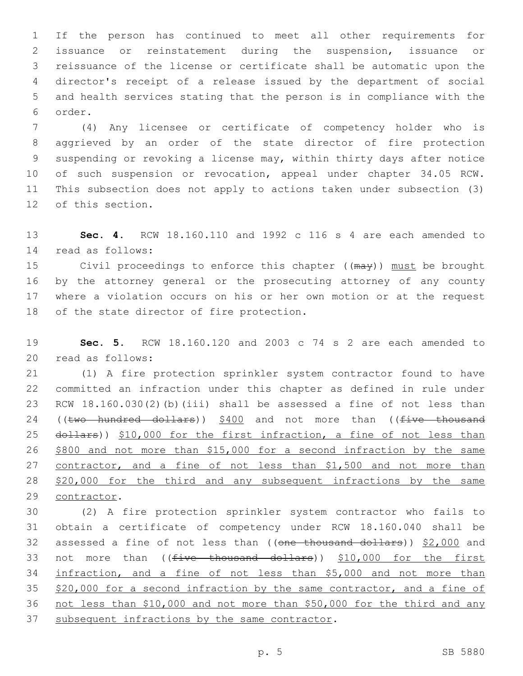If the person has continued to meet all other requirements for issuance or reinstatement during the suspension, issuance or reissuance of the license or certificate shall be automatic upon the director's receipt of a release issued by the department of social and health services stating that the person is in compliance with the 6 order.

 (4) Any licensee or certificate of competency holder who is aggrieved by an order of the state director of fire protection suspending or revoking a license may, within thirty days after notice of such suspension or revocation, appeal under chapter 34.05 RCW. This subsection does not apply to actions taken under subsection (3) 12 of this section.

 **Sec. 4.** RCW 18.160.110 and 1992 c 116 s 4 are each amended to read as follows:14

15 Civil proceedings to enforce this chapter ((may)) must be brought by the attorney general or the prosecuting attorney of any county where a violation occurs on his or her own motion or at the request 18 of the state director of fire protection.

 **Sec. 5.** RCW 18.160.120 and 2003 c 74 s 2 are each amended to read as follows:20

 (1) A fire protection sprinkler system contractor found to have committed an infraction under this chapter as defined in rule under RCW 18.160.030(2)(b)(iii) shall be assessed a fine of not less than 24 ((two hundred dollars))  $$400$  and not more than (( $five$  thousand 25 dollars)) \$10,000 for the first infraction, a fine of not less than \$800 and not more than \$15,000 for a second infraction by the same contractor, and a fine of not less than \$1,500 and not more than 28 \$20,000 for the third and any subsequent infractions by the same 29 contractor.

 (2) A fire protection sprinkler system contractor who fails to obtain a certificate of competency under RCW 18.160.040 shall be 32 assessed a fine of not less than ((one thousand dollars)) \$2,000 and 33 not more than ((<del>five thousand dollars</del>)) \$10,000 for the first infraction, and a fine of not less than \$5,000 and not more than \$20,000 for a second infraction by the same contractor, and a fine of not less than \$10,000 and not more than \$50,000 for the third and any 37 subsequent infractions by the same contractor.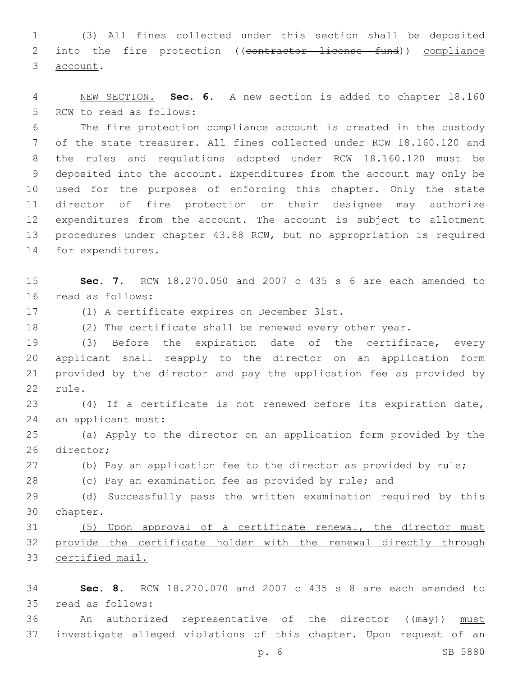(3) All fines collected under this section shall be deposited 2 into the fire protection ((contractor license fund)) compliance 3 account.

 NEW SECTION. **Sec. 6.** A new section is added to chapter 18.160 5 RCW to read as follows:

 The fire protection compliance account is created in the custody of the state treasurer. All fines collected under RCW 18.160.120 and the rules and regulations adopted under RCW 18.160.120 must be deposited into the account. Expenditures from the account may only be used for the purposes of enforcing this chapter. Only the state director of fire protection or their designee may authorize expenditures from the account. The account is subject to allotment procedures under chapter 43.88 RCW, but no appropriation is required 14 for expenditures.

 **Sec. 7.** RCW 18.270.050 and 2007 c 435 s 6 are each amended to 16 read as follows:

17 (1) A certificate expires on December 31st.

(2) The certificate shall be renewed every other year.

 (3) Before the expiration date of the certificate, every applicant shall reapply to the director on an application form provided by the director and pay the application fee as provided by 22 rule.

 (4) If a certificate is not renewed before its expiration date, 24 an applicant must:

 (a) Apply to the director on an application form provided by the 26 director;

(b) Pay an application fee to the director as provided by rule;

28 (c) Pay an examination fee as provided by rule; and

 (d) Successfully pass the written examination required by this 30 chapter.

 (5) Upon approval of a certificate renewal, the director must provide the certificate holder with the renewal directly through certified mail.

 **Sec. 8.** RCW 18.270.070 and 2007 c 435 s 8 are each amended to read as follows:35

36 An authorized representative of the director ((may)) must investigate alleged violations of this chapter. Upon request of an